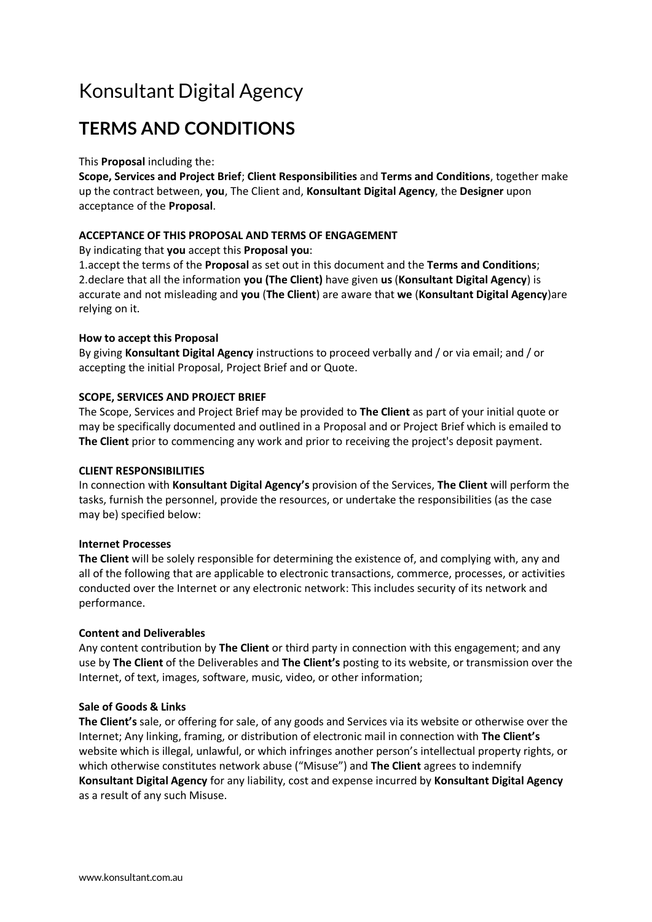# Konsultant Digital Agency

## **TERMS AND CONDITIONS**

#### This **Proposal** including the:

**Scope, Services and Project Brief**; **Client Responsibilities** and **Terms and Conditions**, together make up the contract between, **you**, The Client and, **Konsultant Digital Agency**, the **Designer** upon acceptance of the **Proposal**.

#### **ACCEPTANCE OF THIS PROPOSAL AND TERMS OF ENGAGEMENT**

By indicating that **you** accept this **Proposal you**:

1.accept the terms of the **Proposal** as set out in this document and the **Terms and Conditions**; 2.declare that all the information **you (The Client)** have given **us** (**Konsultant Digital Agency**) is accurate and not misleading and **you** (**The Client**) are aware that **we** (**Konsultant Digital Agency**)are relying on it.

#### **How to accept this Proposal**

By giving **Konsultant Digital Agency** instructions to proceed verbally and / or via email; and / or accepting the initial Proposal, Project Brief and or Quote.

#### **SCOPE, SERVICES AND PROJECT BRIEF**

The Scope, Services and Project Brief may be provided to **The Client** as part of your initial quote or may be specifically documented and outlined in a Proposal and or Project Brief which is emailed to **The Client** prior to commencing any work and prior to receiving the project's deposit payment.

#### **CLIENT RESPONSIBILITIES**

In connection with **Konsultant Digital Agency's** provision of the Services, **The Client** will perform the tasks, furnish the personnel, provide the resources, or undertake the responsibilities (as the case may be) specified below:

#### **Internet Processes**

**The Client** will be solely responsible for determining the existence of, and complying with, any and all of the following that are applicable to electronic transactions, commerce, processes, or activities conducted over the Internet or any electronic network: This includes security of its network and performance.

#### **Content and Deliverables**

Any content contribution by **The Client** or third party in connection with this engagement; and any use by **The Client** of the Deliverables and **The Client's** posting to its website, or transmission over the Internet, of text, images, software, music, video, or other information;

#### **Sale of Goods & Links**

**The Client's** sale, or offering for sale, of any goods and Services via its website or otherwise over the Internet; Any linking, framing, or distribution of electronic mail in connection with **The Client's** website which is illegal, unlawful, or which infringes another person's intellectual property rights, or which otherwise constitutes network abuse ("Misuse") and **The Client** agrees to indemnify **Konsultant Digital Agency** for any liability, cost and expense incurred by **Konsultant Digital Agency** as a result of any such Misuse.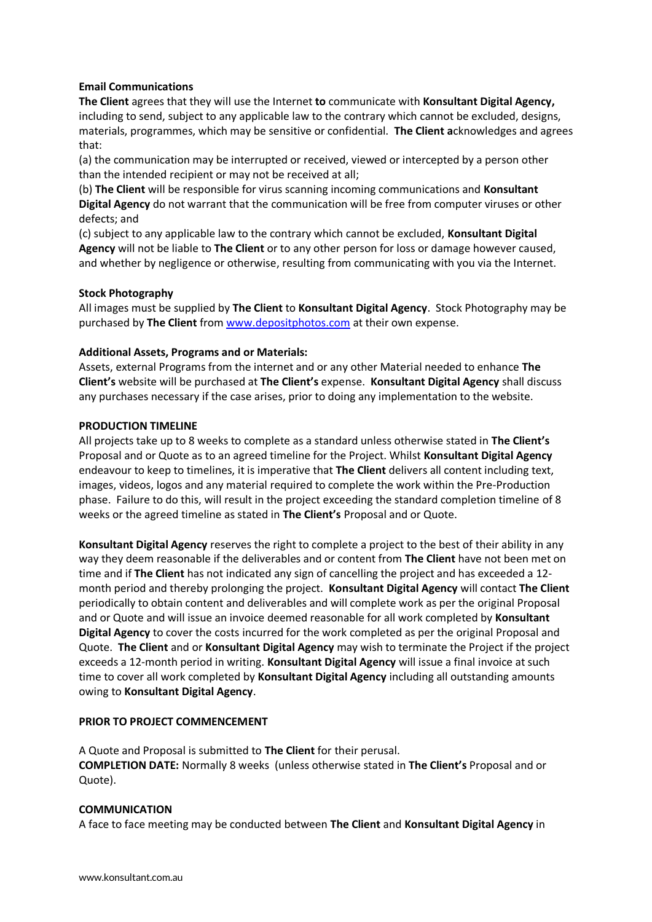#### **Email Communications**

**The Client** agrees that they will use the Internet **to** communicate with **Konsultant Digital Agency,**  including to send, subject to any applicable law to the contrary which cannot be excluded, designs, materials, programmes, which may be sensitive or confidential. **The Client a**cknowledges and agrees that:

(a) the communication may be interrupted or received, viewed or intercepted by a person other than the intended recipient or may not be received at all;

(b) **The Client** will be responsible for virus scanning incoming communications and **Konsultant Digital Agency** do not warrant that the communication will be free from computer viruses or other defects; and

(c) subject to any applicable law to the contrary which cannot be excluded, **Konsultant Digital Agency** will not be liable to **The Client** or to any other person for loss or damage however caused, and whether by negligence or otherwise, resulting from communicating with you via the Internet.

#### **Stock Photography**

All images must be supplied by **The Client** to **Konsultant Digital Agency**. Stock Photography may be purchased by **The Client** from [www.depositphotos.com](http://www.depositphotos.com/) at their own expense.

#### **Additional Assets, Programs and or Materials:**

Assets, external Programs from the internet and or any other Material needed to enhance **The Client's** website will be purchased at **The Client's** expense. **Konsultant Digital Agency** shall discuss any purchases necessary if the case arises, prior to doing any implementation to the website.

#### **PRODUCTION TIMELINE**

All projects take up to 8 weeks to complete as a standard unless otherwise stated in **The Client's** Proposal and or Quote as to an agreed timeline for the Project. Whilst **Konsultant Digital Agency** endeavour to keep to timelines, it is imperative that **The Client** delivers all content including text, images, videos, logos and any material required to complete the work within the Pre-Production phase. Failure to do this, will result in the project exceeding the standard completion timeline of 8 weeks or the agreed timeline as stated in **The Client's** Proposal and or Quote.

**Konsultant Digital Agency** reserves the right to complete a project to the best of their ability in any way they deem reasonable if the deliverables and or content from **The Client** have not been met on time and if **The Client** has not indicated any sign of cancelling the project and has exceeded a 12 month period and thereby prolonging the project. **Konsultant Digital Agency** will contact **The Client** periodically to obtain content and deliverables and will complete work as per the original Proposal and or Quote and will issue an invoice deemed reasonable for all work completed by **Konsultant Digital Agency** to cover the costs incurred for the work completed as per the original Proposal and Quote. **The Client** and or **Konsultant Digital Agency** may wish to terminate the Project if the project exceeds a 12-month period in writing. **Konsultant Digital Agency** will issue a final invoice at such time to cover all work completed by **Konsultant Digital Agency** including all outstanding amounts owing to **Konsultant Digital Agency**.

#### **PRIOR TO PROJECT COMMENCEMENT**

A Quote and Proposal is submitted to **The Client** for their perusal. **COMPLETION DATE:** Normally 8 weeks (unless otherwise stated in **The Client's** Proposal and or Quote).

#### **COMMUNICATION**

A face to face meeting may be conducted between **The Client** and **Konsultant Digital Agency** in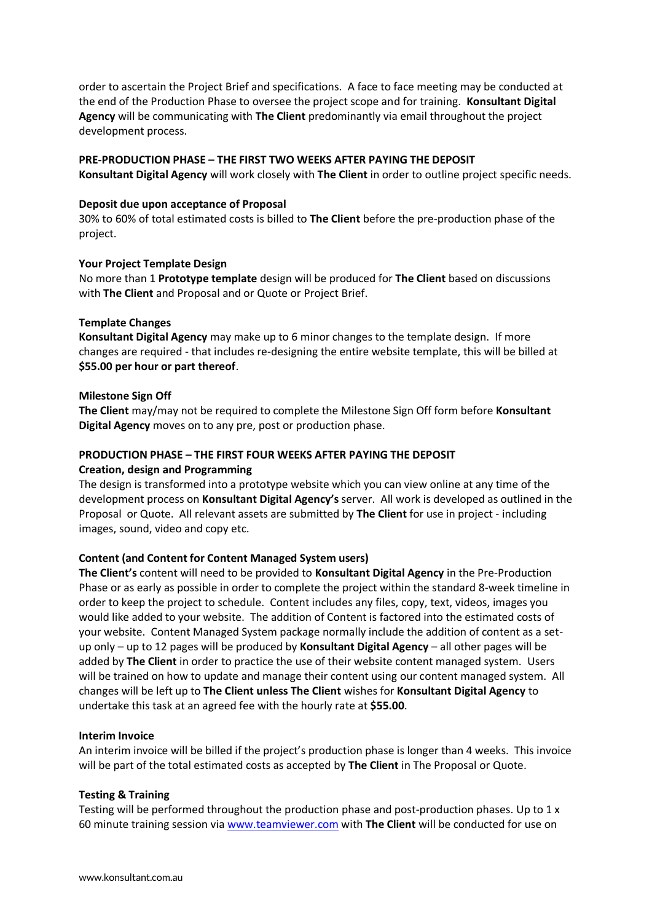order to ascertain the Project Brief and specifications. A face to face meeting may be conducted at the end of the Production Phase to oversee the project scope and for training. **Konsultant Digital Agency** will be communicating with **The Client** predominantly via email throughout the project development process.

#### **PRE-PRODUCTION PHASE – THE FIRST TWO WEEKS AFTER PAYING THE DEPOSIT**

**Konsultant Digital Agency** will work closely with **The Client** in order to outline project specific needs.

#### **Deposit due upon acceptance of Proposal**

30% to 60% of total estimated costs is billed to **The Client** before the pre-production phase of the project.

#### **Your Project Template Design**

No more than 1 **Prototype template** design will be produced for **The Client** based on discussions with **The Client** and Proposal and or Quote or Project Brief.

#### **Template Changes**

**Konsultant Digital Agency** may make up to 6 minor changes to the template design. If more changes are required - that includes re-designing the entire website template, this will be billed at **\$55.00 per hour or part thereof**.

#### **Milestone Sign Off**

**The Client** may/may not be required to complete the Milestone Sign Off form before **Konsultant Digital Agency** moves on to any pre, post or production phase.

#### **PRODUCTION PHASE – THE FIRST FOUR WEEKS AFTER PAYING THE DEPOSIT Creation, design and Programming**

The design is transformed into a prototype website which you can view online at any time of the development process on **Konsultant Digital Agency's** server. All work is developed as outlined in the Proposal or Quote. All relevant assets are submitted by **The Client** for use in project - including images, sound, video and copy etc.

#### **Content (and Content for Content Managed System users)**

**The Client's** content will need to be provided to **Konsultant Digital Agency** in the Pre-Production Phase or as early as possible in order to complete the project within the standard 8-week timeline in order to keep the project to schedule. Content includes any files, copy, text, videos, images you would like added to your website. The addition of Content is factored into the estimated costs of your website. Content Managed System package normally include the addition of content as a setup only – up to 12 pages will be produced by **Konsultant Digital Agency** – all other pages will be added by **The Client** in order to practice the use of their website content managed system. Users will be trained on how to update and manage their content using our content managed system. All changes will be left up to **The Client unless The Client** wishes for **Konsultant Digital Agency** to undertake this task at an agreed fee with the hourly rate at **\$55.00**.

#### **Interim Invoice**

An interim invoice will be billed if the project's production phase is longer than 4 weeks. This invoice will be part of the total estimated costs as accepted by **The Client** in The Proposal or Quote.

#### **Testing & Training**

Testing will be performed throughout the production phase and post-production phases. Up to 1 x 60 minute training session vi[a www.teamviewer.com](http://www.teamviewer.com/) with **The Client** will be conducted for use on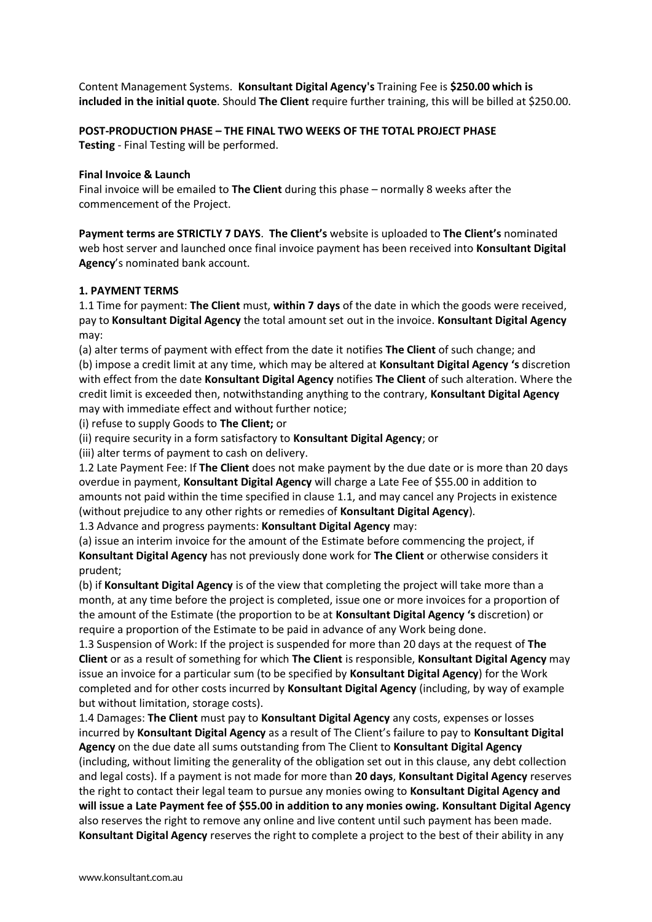Content Management Systems. **Konsultant Digital Agency's** Training Fee is **\$250.00 which is included in the initial quote**. Should **The Client** require further training, this will be billed at \$250.00.

#### **POST-PRODUCTION PHASE – THE FINAL TWO WEEKS OF THE TOTAL PROJECT PHASE**

**Testing** - Final Testing will be performed.

#### **Final Invoice & Launch**

Final invoice will be emailed to **The Client** during this phase – normally 8 weeks after the commencement of the Project.

**Payment terms are STRICTLY 7 DAYS**. **The Client's** website is uploaded to **The Client's** nominated web host server and launched once final invoice payment has been received into **Konsultant Digital Agency**'s nominated bank account.

#### **1. PAYMENT TERMS**

1.1 Time for payment: **The Client** must, **within 7 days** of the date in which the goods were received, pay to **Konsultant Digital Agency** the total amount set out in the invoice. **Konsultant Digital Agency** may:

(a) alter terms of payment with effect from the date it notifies **The Client** of such change; and (b) impose a credit limit at any time, which may be altered at **Konsultant Digital Agency 's** discretion with effect from the date **Konsultant Digital Agency** notifies **The Client** of such alteration. Where the credit limit is exceeded then, notwithstanding anything to the contrary, **Konsultant Digital Agency** may with immediate effect and without further notice;

(i) refuse to supply Goods to **The Client;** or

(ii) require security in a form satisfactory to **Konsultant Digital Agency**; or

(iii) alter terms of payment to cash on delivery.

1.2 Late Payment Fee: If **The Client** does not make payment by the due date or is more than 20 days overdue in payment, **Konsultant Digital Agency** will charge a Late Fee of \$55.00 in addition to amounts not paid within the time specified in clause 1.1, and may cancel any Projects in existence (without prejudice to any other rights or remedies of **Konsultant Digital Agency**).

1.3 Advance and progress payments: **Konsultant Digital Agency** may:

(a) issue an interim invoice for the amount of the Estimate before commencing the project, if **Konsultant Digital Agency** has not previously done work for **The Client** or otherwise considers it prudent;

(b) if **Konsultant Digital Agency** is of the view that completing the project will take more than a month, at any time before the project is completed, issue one or more invoices for a proportion of the amount of the Estimate (the proportion to be at **Konsultant Digital Agency 's** discretion) or require a proportion of the Estimate to be paid in advance of any Work being done.

1.3 Suspension of Work: If the project is suspended for more than 20 days at the request of **The Client** or as a result of something for which **The Client** is responsible, **Konsultant Digital Agency** may issue an invoice for a particular sum (to be specified by **Konsultant Digital Agency**) for the Work completed and for other costs incurred by **Konsultant Digital Agency** (including, by way of example but without limitation, storage costs).

1.4 Damages: **The Client** must pay to **Konsultant Digital Agency** any costs, expenses or losses incurred by **Konsultant Digital Agency** as a result of The Client's failure to pay to **Konsultant Digital Agency** on the due date all sums outstanding from The Client to **Konsultant Digital Agency** (including, without limiting the generality of the obligation set out in this clause, any debt collection and legal costs). If a payment is not made for more than **20 days**, **Konsultant Digital Agency** reserves the right to contact their legal team to pursue any monies owing to **Konsultant Digital Agency and will issue a Late Payment fee of \$55.00 in addition to any monies owing***.* **Konsultant Digital Agency** also reserves the right to remove any online and live content until such payment has been made. **Konsultant Digital Agency** reserves the right to complete a project to the best of their ability in any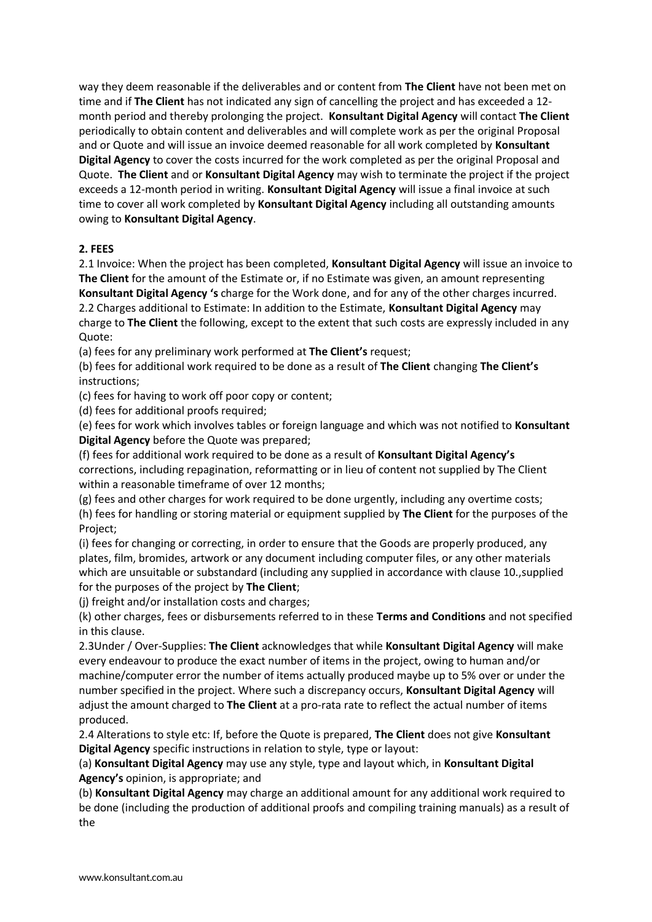way they deem reasonable if the deliverables and or content from **The Client** have not been met on time and if **The Client** has not indicated any sign of cancelling the project and has exceeded a 12 month period and thereby prolonging the project. **Konsultant Digital Agency** will contact **The Client** periodically to obtain content and deliverables and will complete work as per the original Proposal and or Quote and will issue an invoice deemed reasonable for all work completed by **Konsultant Digital Agency** to cover the costs incurred for the work completed as per the original Proposal and Quote. **The Client** and or **Konsultant Digital Agency** may wish to terminate the project if the project exceeds a 12-month period in writing. **Konsultant Digital Agency** will issue a final invoice at such time to cover all work completed by **Konsultant Digital Agency** including all outstanding amounts owing to **Konsultant Digital Agency**.

#### **2. FEES**

2.1 Invoice: When the project has been completed, **Konsultant Digital Agency** will issue an invoice to **The Client** for the amount of the Estimate or, if no Estimate was given, an amount representing **Konsultant Digital Agency 's** charge for the Work done, and for any of the other charges incurred. 2.2 Charges additional to Estimate: In addition to the Estimate, **Konsultant Digital Agency** may charge to **The Client** the following, except to the extent that such costs are expressly included in any Quote:

(a) fees for any preliminary work performed at **The Client's** request;

(b) fees for additional work required to be done as a result of **The Client** changing **The Client's** instructions;

(c) fees for having to work off poor copy or content;

(d) fees for additional proofs required;

(e) fees for work which involves tables or foreign language and which was not notified to **Konsultant Digital Agency** before the Quote was prepared;

(f) fees for additional work required to be done as a result of **Konsultant Digital Agency's** corrections, including repagination, reformatting or in lieu of content not supplied by The Client within a reasonable timeframe of over 12 months;

(g) fees and other charges for work required to be done urgently, including any overtime costs;

(h) fees for handling or storing material or equipment supplied by **The Client** for the purposes of the Project;

(i) fees for changing or correcting, in order to ensure that the Goods are properly produced, any plates, film, bromides, artwork or any document including computer files, or any other materials which are unsuitable or substandard (including any supplied in accordance with clause 10.,supplied for the purposes of the project by **The Client**;

(j) freight and/or installation costs and charges;

(k) other charges, fees or disbursements referred to in these **Terms and Conditions** and not specified in this clause.

2.3Under / Over-Supplies: **The Client** acknowledges that while **Konsultant Digital Agency** will make every endeavour to produce the exact number of items in the project, owing to human and/or machine/computer error the number of items actually produced maybe up to 5% over or under the number specified in the project. Where such a discrepancy occurs, **Konsultant Digital Agency** will adjust the amount charged to **The Client** at a pro-rata rate to reflect the actual number of items produced.

2.4 Alterations to style etc: If, before the Quote is prepared, **The Client** does not give **Konsultant Digital Agency** specific instructions in relation to style, type or layout:

(a) **Konsultant Digital Agency** may use any style, type and layout which, in **Konsultant Digital Agency's** opinion, is appropriate; and

(b) **Konsultant Digital Agency** may charge an additional amount for any additional work required to be done (including the production of additional proofs and compiling training manuals) as a result of the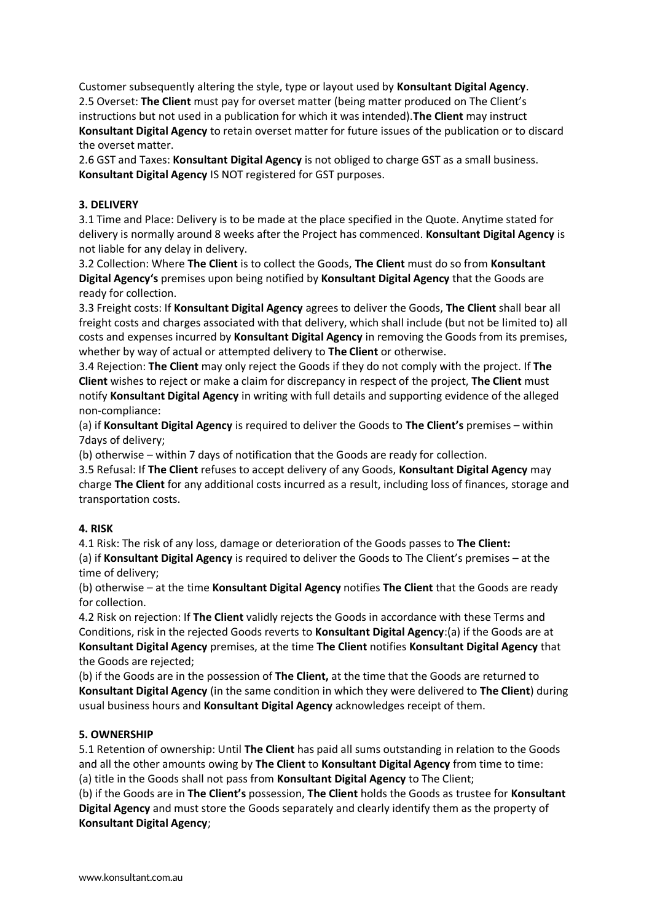Customer subsequently altering the style, type or layout used by **Konsultant Digital Agency**. 2.5 Overset: **The Client** must pay for overset matter (being matter produced on The Client's instructions but not used in a publication for which it was intended).**The Client** may instruct **Konsultant Digital Agency** to retain overset matter for future issues of the publication or to discard the overset matter.

2.6 GST and Taxes: **Konsultant Digital Agency** is not obliged to charge GST as a small business. **Konsultant Digital Agency** IS NOT registered for GST purposes.

#### **3. DELIVERY**

3.1 Time and Place: Delivery is to be made at the place specified in the Quote. Anytime stated for delivery is normally around 8 weeks after the Project has commenced. **Konsultant Digital Agency** is not liable for any delay in delivery.

3.2 Collection: Where **The Client** is to collect the Goods, **The Client** must do so from **Konsultant Digital Agency's** premises upon being notified by **Konsultant Digital Agency** that the Goods are ready for collection.

3.3 Freight costs: If **Konsultant Digital Agency** agrees to deliver the Goods, **The Client** shall bear all freight costs and charges associated with that delivery, which shall include (but not be limited to) all costs and expenses incurred by **Konsultant Digital Agency** in removing the Goods from its premises, whether by way of actual or attempted delivery to **The Client** or otherwise.

3.4 Rejection: **The Client** may only reject the Goods if they do not comply with the project. If **The Client** wishes to reject or make a claim for discrepancy in respect of the project, **The Client** must notify **Konsultant Digital Agency** in writing with full details and supporting evidence of the alleged non-compliance:

(a) if **Konsultant Digital Agency** is required to deliver the Goods to **The Client's** premises – within 7days of delivery;

(b) otherwise – within 7 days of notification that the Goods are ready for collection.

3.5 Refusal: If **The Client** refuses to accept delivery of any Goods, **Konsultant Digital Agency** may charge **The Client** for any additional costs incurred as a result, including loss of finances, storage and transportation costs.

#### **4. RISK**

4.1 Risk: The risk of any loss, damage or deterioration of the Goods passes to **The Client:**

(a) if **Konsultant Digital Agency** is required to deliver the Goods to The Client's premises – at the time of delivery;

(b) otherwise – at the time **Konsultant Digital Agency** notifies **The Client** that the Goods are ready for collection.

4.2 Risk on rejection: If **The Client** validly rejects the Goods in accordance with these Terms and Conditions, risk in the rejected Goods reverts to **Konsultant Digital Agency**:(a) if the Goods are at **Konsultant Digital Agency** premises, at the time **The Client** notifies **Konsultant Digital Agency** that the Goods are rejected;

(b) if the Goods are in the possession of **The Client,** at the time that the Goods are returned to **Konsultant Digital Agency** (in the same condition in which they were delivered to **The Client**) during usual business hours and **Konsultant Digital Agency** acknowledges receipt of them.

## **5. OWNERSHIP**

5.1 Retention of ownership: Until **The Client** has paid all sums outstanding in relation to the Goods and all the other amounts owing by **The Client** to **Konsultant Digital Agency** from time to time: (a) title in the Goods shall not pass from **Konsultant Digital Agency** to The Client;

(b) if the Goods are in **The Client's** possession, **The Client** holds the Goods as trustee for **Konsultant Digital Agency** and must store the Goods separately and clearly identify them as the property of **Konsultant Digital Agency**;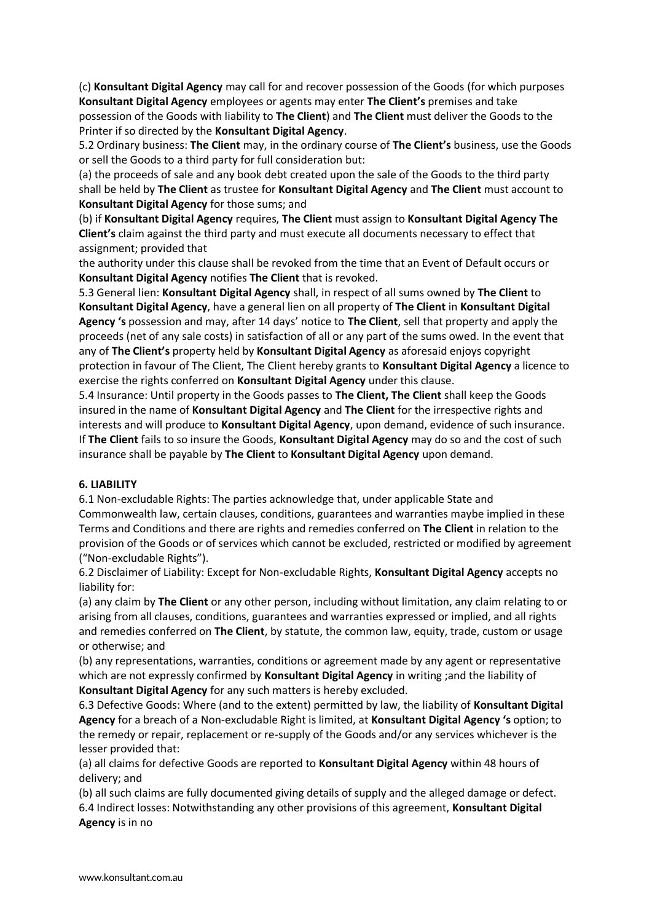(c) **Konsultant Digital Agency** may call for and recover possession of the Goods (for which purposes **Konsultant Digital Agency** employees or agents may enter **The Client's** premises and take possession of the Goods with liability to **The Client**) and **The Client** must deliver the Goods to the Printer if so directed by the **Konsultant Digital Agency**.

5.2 Ordinary business: **The Client** may, in the ordinary course of **The Client's** business, use the Goods or sell the Goods to a third party for full consideration but:

(a) the proceeds of sale and any book debt created upon the sale of the Goods to the third party shall be held by **The Client** as trustee for **Konsultant Digital Agency** and **The Client** must account to **Konsultant Digital Agency** for those sums; and

(b) if **Konsultant Digital Agency** requires, **The Client** must assign to **Konsultant Digital Agency The Client's** claim against the third party and must execute all documents necessary to effect that assignment; provided that

the authority under this clause shall be revoked from the time that an Event of Default occurs or **Konsultant Digital Agency** notifies **The Client** that is revoked.

5.3 General lien: **Konsultant Digital Agency** shall, in respect of all sums owned by **The Client** to **Konsultant Digital Agency**, have a general lien on all property of **The Client** in **Konsultant Digital Agency 's** possession and may, after 14 days' notice to **The Client**, sell that property and apply the proceeds (net of any sale costs) in satisfaction of all or any part of the sums owed. In the event that any of **The Client's** property held by **Konsultant Digital Agency** as aforesaid enjoys copyright protection in favour of The Client, The Client hereby grants to **Konsultant Digital Agency** a licence to exercise the rights conferred on **Konsultant Digital Agency** under this clause.

5.4 Insurance: Until property in the Goods passes to **The Client, The Client** shall keep the Goods insured in the name of **Konsultant Digital Agency** and **The Client** for the irrespective rights and interests and will produce to **Konsultant Digital Agency**, upon demand, evidence of such insurance. If **The Client** fails to so insure the Goods, **Konsultant Digital Agency** may do so and the cost of such insurance shall be payable by **The Client** to **Konsultant Digital Agency** upon demand.

#### **6. LIABILITY**

6.1 Non-excludable Rights: The parties acknowledge that, under applicable State and Commonwealth law, certain clauses, conditions, guarantees and warranties maybe implied in these Terms and Conditions and there are rights and remedies conferred on **The Client** in relation to the provision of the Goods or of services which cannot be excluded, restricted or modified by agreement ("Non-excludable Rights").

6.2 Disclaimer of Liability: Except for Non-excludable Rights, **Konsultant Digital Agency** accepts no liability for:

(a) any claim by **The Client** or any other person, including without limitation, any claim relating to or arising from all clauses, conditions, guarantees and warranties expressed or implied, and all rights and remedies conferred on **The Client**, by statute, the common law, equity, trade, custom or usage or otherwise; and

(b) any representations, warranties, conditions or agreement made by any agent or representative which are not expressly confirmed by **Konsultant Digital Agency** in writing ;and the liability of **Konsultant Digital Agency** for any such matters is hereby excluded.

6.3 Defective Goods: Where (and to the extent) permitted by law, the liability of **Konsultant Digital Agency** for a breach of a Non-excludable Right is limited, at **Konsultant Digital Agency 's** option; to the remedy or repair, replacement or re-supply of the Goods and/or any services whichever is the lesser provided that:

(a) all claims for defective Goods are reported to **Konsultant Digital Agency** within 48 hours of delivery; and

(b) all such claims are fully documented giving details of supply and the alleged damage or defect. 6.4 Indirect losses: Notwithstanding any other provisions of this agreement, **Konsultant Digital Agency** is in no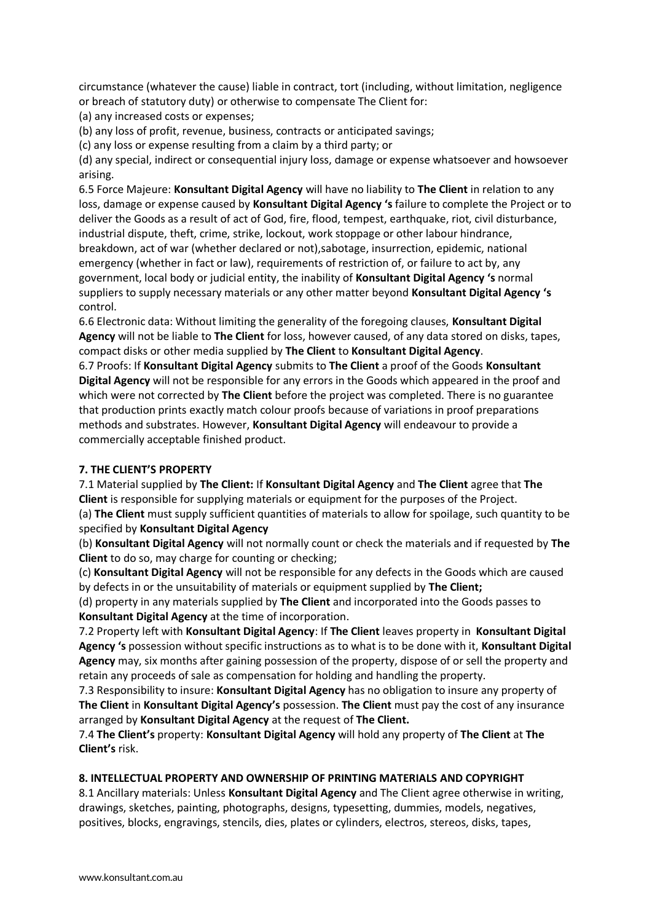circumstance (whatever the cause) liable in contract, tort (including, without limitation, negligence or breach of statutory duty) or otherwise to compensate The Client for:

(a) any increased costs or expenses;

(b) any loss of profit, revenue, business, contracts or anticipated savings;

(c) any loss or expense resulting from a claim by a third party; or

(d) any special, indirect or consequential injury loss, damage or expense whatsoever and howsoever arising.

6.5 Force Majeure: **Konsultant Digital Agency** will have no liability to **The Client** in relation to any loss, damage or expense caused by **Konsultant Digital Agency 's** failure to complete the Project or to deliver the Goods as a result of act of God, fire, flood, tempest, earthquake, riot, civil disturbance, industrial dispute, theft, crime, strike, lockout, work stoppage or other labour hindrance, breakdown, act of war (whether declared or not),sabotage, insurrection, epidemic, national emergency (whether in fact or law), requirements of restriction of, or failure to act by, any government, local body or judicial entity, the inability of **Konsultant Digital Agency 's** normal suppliers to supply necessary materials or any other matter beyond **Konsultant Digital Agency 's**  control.

6.6 Electronic data: Without limiting the generality of the foregoing clauses, **Konsultant Digital Agency** will not be liable to **The Client** for loss, however caused, of any data stored on disks, tapes, compact disks or other media supplied by **The Client** to **Konsultant Digital Agency**.

6.7 Proofs: If **Konsultant Digital Agency** submits to **The Client** a proof of the Goods **Konsultant Digital Agency** will not be responsible for any errors in the Goods which appeared in the proof and which were not corrected by **The Client** before the project was completed. There is no guarantee that production prints exactly match colour proofs because of variations in proof preparations methods and substrates. However, **Konsultant Digital Agency** will endeavour to provide a commercially acceptable finished product.

## **7. THE CLIENT'S PROPERTY**

7.1 Material supplied by **The Client:** If **Konsultant Digital Agency** and **The Client** agree that **The Client** is responsible for supplying materials or equipment for the purposes of the Project. (a) **The Client** must supply sufficient quantities of materials to allow for spoilage, such quantity to be specified by **Konsultant Digital Agency**

(b) **Konsultant Digital Agency** will not normally count or check the materials and if requested by **The Client** to do so, may charge for counting or checking;

(c) **Konsultant Digital Agency** will not be responsible for any defects in the Goods which are caused by defects in or the unsuitability of materials or equipment supplied by **The Client;**

(d) property in any materials supplied by **The Client** and incorporated into the Goods passes to **Konsultant Digital Agency** at the time of incorporation.

7.2 Property left with **Konsultant Digital Agency**: If **The Client** leaves property in **Konsultant Digital Agency 's** possession without specific instructions as to what is to be done with it, **Konsultant Digital Agency** may, six months after gaining possession of the property, dispose of or sell the property and retain any proceeds of sale as compensation for holding and handling the property.

7.3 Responsibility to insure: **Konsultant Digital Agency** has no obligation to insure any property of **The Client** in **Konsultant Digital Agency's** possession. **The Client** must pay the cost of any insurance arranged by **Konsultant Digital Agency** at the request of **The Client.**

7.4 **The Client's** property: **Konsultant Digital Agency** will hold any property of **The Client** at **The Client's** risk.

## **8. INTELLECTUAL PROPERTY AND OWNERSHIP OF PRINTING MATERIALS AND COPYRIGHT**

8.1 Ancillary materials: Unless **Konsultant Digital Agency** and The Client agree otherwise in writing, drawings, sketches, painting, photographs, designs, typesetting, dummies, models, negatives, positives, blocks, engravings, stencils, dies, plates or cylinders, electros, stereos, disks, tapes,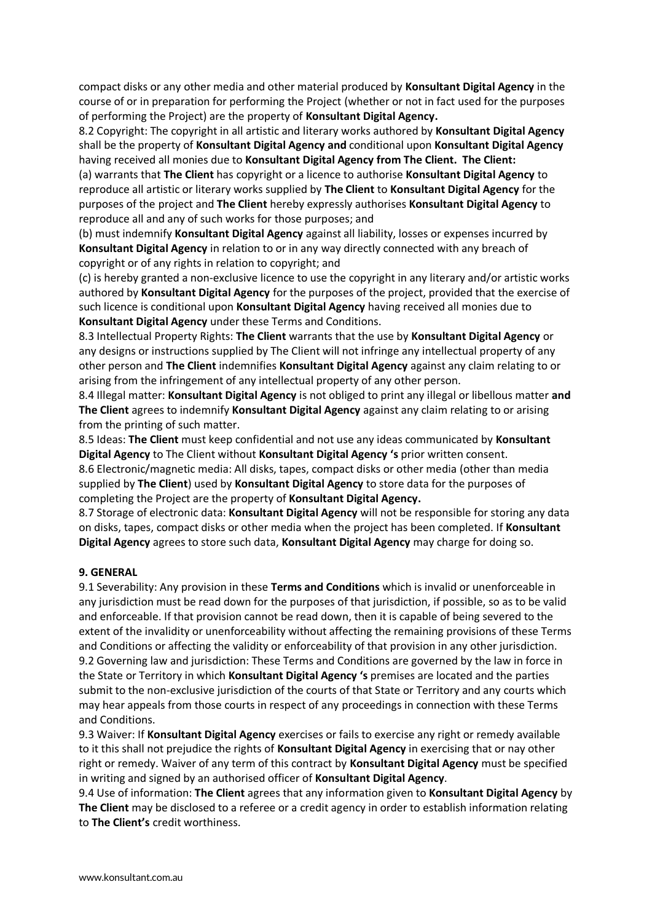compact disks or any other media and other material produced by **Konsultant Digital Agency** in the course of or in preparation for performing the Project (whether or not in fact used for the purposes of performing the Project) are the property of **Konsultant Digital Agency.**

8.2 Copyright: The copyright in all artistic and literary works authored by **Konsultant Digital Agency** shall be the property of **Konsultant Digital Agency and** conditional upon **Konsultant Digital Agency** having received all monies due to **Konsultant Digital Agency from The Client. The Client:**

(a) warrants that **The Client** has copyright or a licence to authorise **Konsultant Digital Agency** to reproduce all artistic or literary works supplied by **The Client** to **Konsultant Digital Agency** for the purposes of the project and **The Client** hereby expressly authorises **Konsultant Digital Agency** to reproduce all and any of such works for those purposes; and

(b) must indemnify **Konsultant Digital Agency** against all liability, losses or expenses incurred by **Konsultant Digital Agency** in relation to or in any way directly connected with any breach of copyright or of any rights in relation to copyright; and

(c) is hereby granted a non-exclusive licence to use the copyright in any literary and/or artistic works authored by **Konsultant Digital Agency** for the purposes of the project, provided that the exercise of such licence is conditional upon **Konsultant Digital Agency** having received all monies due to **Konsultant Digital Agency** under these Terms and Conditions.

8.3 Intellectual Property Rights: **The Client** warrants that the use by **Konsultant Digital Agency** or any designs or instructions supplied by The Client will not infringe any intellectual property of any other person and **The Client** indemnifies **Konsultant Digital Agency** against any claim relating to or arising from the infringement of any intellectual property of any other person.

8.4 Illegal matter: **Konsultant Digital Agency** is not obliged to print any illegal or libellous matter **and The Client** agrees to indemnify **Konsultant Digital Agency** against any claim relating to or arising from the printing of such matter.

8.5 Ideas: **The Client** must keep confidential and not use any ideas communicated by **Konsultant Digital Agency** to The Client without **Konsultant Digital Agency 's** prior written consent.

8.6 Electronic/magnetic media: All disks, tapes, compact disks or other media (other than media supplied by **The Client**) used by **Konsultant Digital Agency** to store data for the purposes of completing the Project are the property of **Konsultant Digital Agency.**

8.7 Storage of electronic data: **Konsultant Digital Agency** will not be responsible for storing any data on disks, tapes, compact disks or other media when the project has been completed. If **Konsultant Digital Agency** agrees to store such data, **Konsultant Digital Agency** may charge for doing so.

#### **9. GENERAL**

9.1 Severability: Any provision in these **Terms and Conditions** which is invalid or unenforceable in any jurisdiction must be read down for the purposes of that jurisdiction, if possible, so as to be valid and enforceable. If that provision cannot be read down, then it is capable of being severed to the extent of the invalidity or unenforceability without affecting the remaining provisions of these Terms and Conditions or affecting the validity or enforceability of that provision in any other jurisdiction. 9.2 Governing law and jurisdiction: These Terms and Conditions are governed by the law in force in the State or Territory in which **Konsultant Digital Agency 's** premises are located and the parties submit to the non-exclusive jurisdiction of the courts of that State or Territory and any courts which may hear appeals from those courts in respect of any proceedings in connection with these Terms and Conditions.

9.3 Waiver: If **Konsultant Digital Agency** exercises or fails to exercise any right or remedy available to it this shall not prejudice the rights of **Konsultant Digital Agency** in exercising that or nay other right or remedy. Waiver of any term of this contract by **Konsultant Digital Agency** must be specified in writing and signed by an authorised officer of **Konsultant Digital Agency**.

9.4 Use of information: **The Client** agrees that any information given to **Konsultant Digital Agency** by **The Client** may be disclosed to a referee or a credit agency in order to establish information relating to **The Client's** credit worthiness.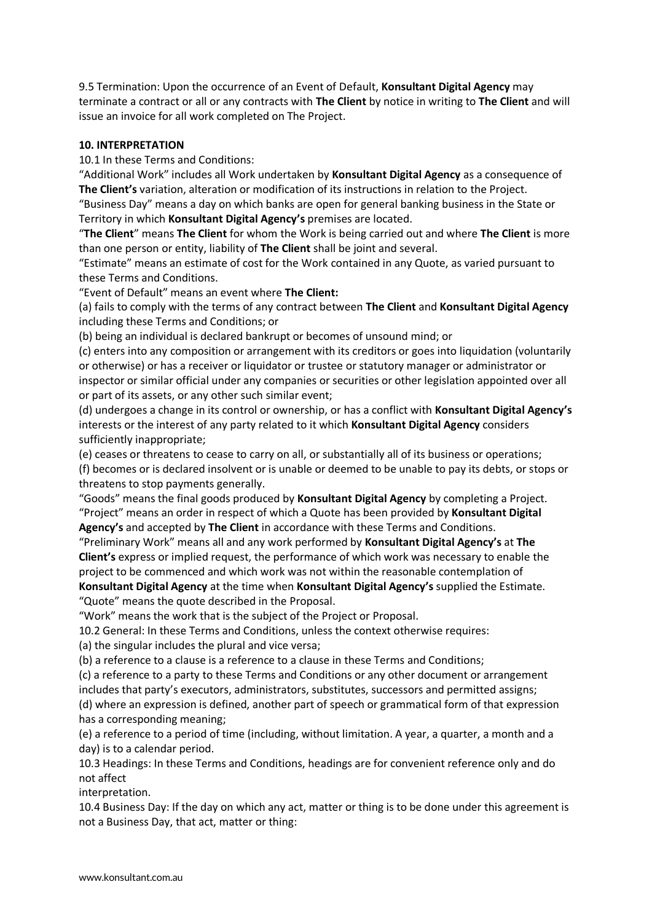9.5 Termination: Upon the occurrence of an Event of Default, **Konsultant Digital Agency** may terminate a contract or all or any contracts with **The Client** by notice in writing to **The Client** and will issue an invoice for all work completed on The Project.

#### **10. INTERPRETATION**

10.1 In these Terms and Conditions:

"Additional Work" includes all Work undertaken by **Konsultant Digital Agency** as a consequence of **The Client's** variation, alteration or modification of its instructions in relation to the Project.

"Business Day" means a day on which banks are open for general banking business in the State or Territory in which **Konsultant Digital Agency's** premises are located.

"**The Client**" means **The Client** for whom the Work is being carried out and where **The Client** is more than one person or entity, liability of **The Client** shall be joint and several.

"Estimate" means an estimate of cost for the Work contained in any Quote, as varied pursuant to these Terms and Conditions.

"Event of Default" means an event where **The Client:**

(a) fails to comply with the terms of any contract between **The Client** and **Konsultant Digital Agency** including these Terms and Conditions; or

(b) being an individual is declared bankrupt or becomes of unsound mind; or

(c) enters into any composition or arrangement with its creditors or goes into liquidation (voluntarily or otherwise) or has a receiver or liquidator or trustee or statutory manager or administrator or inspector or similar official under any companies or securities or other legislation appointed over all or part of its assets, or any other such similar event;

(d) undergoes a change in its control or ownership, or has a conflict with **Konsultant Digital Agency's** interests or the interest of any party related to it which **Konsultant Digital Agency** considers sufficiently inappropriate;

(e) ceases or threatens to cease to carry on all, or substantially all of its business or operations;

(f) becomes or is declared insolvent or is unable or deemed to be unable to pay its debts, or stops or threatens to stop payments generally.

"Goods" means the final goods produced by **Konsultant Digital Agency** by completing a Project. "Project" means an order in respect of which a Quote has been provided by **Konsultant Digital Agency's** and accepted by **The Client** in accordance with these Terms and Conditions.

"Preliminary Work" means all and any work performed by **Konsultant Digital Agency's** at **The Client's** express or implied request, the performance of which work was necessary to enable the project to be commenced and which work was not within the reasonable contemplation of

**Konsultant Digital Agency** at the time when **Konsultant Digital Agency's** supplied the Estimate. "Quote" means the quote described in the Proposal.

"Work" means the work that is the subject of the Project or Proposal.

10.2 General: In these Terms and Conditions, unless the context otherwise requires:

(a) the singular includes the plural and vice versa;

(b) a reference to a clause is a reference to a clause in these Terms and Conditions;

(c) a reference to a party to these Terms and Conditions or any other document or arrangement includes that party's executors, administrators, substitutes, successors and permitted assigns;

(d) where an expression is defined, another part of speech or grammatical form of that expression has a corresponding meaning;

(e) a reference to a period of time (including, without limitation. A year, a quarter, a month and a day) is to a calendar period.

10.3 Headings: In these Terms and Conditions, headings are for convenient reference only and do not affect

interpretation.

10.4 Business Day: If the day on which any act, matter or thing is to be done under this agreement is not a Business Day, that act, matter or thing: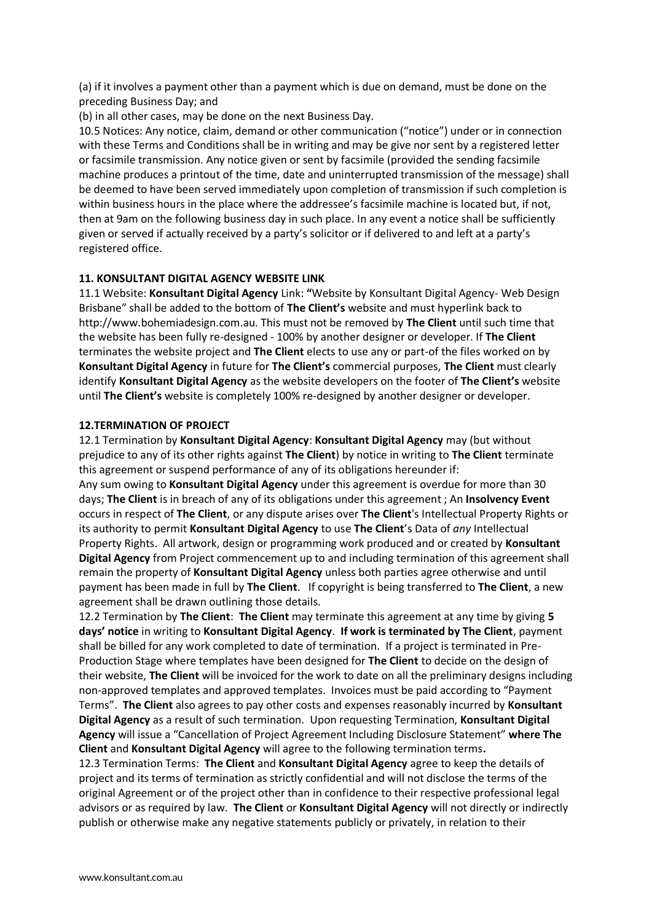(a) if it involves a payment other than a payment which is due on demand, must be done on the preceding Business Day; and

(b) in all other cases, may be done on the next Business Day.

10.5 Notices: Any notice, claim, demand or other communication ("notice") under or in connection with these Terms and Conditions shall be in writing and may be give nor sent by a registered letter or facsimile transmission. Any notice given or sent by facsimile (provided the sending facsimile machine produces a printout of the time, date and uninterrupted transmission of the message) shall be deemed to have been served immediately upon completion of transmission if such completion is within business hours in the place where the addressee's facsimile machine is located but, if not, then at 9am on the following business day in such place. In any event a notice shall be sufficiently given or served if actually received by a party's solicitor or if delivered to and left at a party's registered office.

#### **11. KONSULTANT DIGITAL AGENCY WEBSITE LINK**

11.1 Website: **Konsultant Digital Agency** Link: **"**Website by Konsultant Digital Agency- Web Design Brisbane" shall be added to the bottom of **The Client's** website and must hyperlink back to http://www.bohemiadesign.com.au. This must not be removed by **The Client** until such time that the website has been fully re-designed - 100% by another designer or developer. If **The Client** terminates the website project and **The Client** elects to use any or part-of the files worked on by **Konsultant Digital Agency** in future for **The Client's** commercial purposes, **The Client** must clearly identify **Konsultant Digital Agency** as the website developers on the footer of **The Client's** website until **The Client's** website is completely 100% re-designed by another designer or developer.

#### **12.TERMINATION OF PROJECT**

12.1 Termination by **Konsultant Digital Agency**: **Konsultant Digital Agency** may (but without prejudice to any of its other rights against **The Client**) by notice in writing to **The Client** terminate this agreement or suspend performance of any of its obligations hereunder if:

Any sum owing to **Konsultant Digital Agency** under this agreement is overdue for more than 30 days; **The Client** is in breach of any of its obligations under this agreement ; An **Insolvency Event** occurs in respect of **The Client**, or any dispute arises over **The Client**'s Intellectual Property Rights or its authority to permit **Konsultant Digital Agency** to use **The Client**'s Data of *any* Intellectual Property Rights. All artwork, design or programming work produced and or created by **Konsultant Digital Agency** from Project commencement up to and including termination of this agreement shall remain the property of **Konsultant Digital Agency** unless both parties agree otherwise and until payment has been made in full by **The Client**. If copyright is being transferred to **The Client**, a new agreement shall be drawn outlining those details.

12.2 Termination by **The Client**: **The Client** may terminate this agreement at any time by giving **5 days' notice** in writing to **Konsultant Digital Agency**. **If work is terminated by The Client**, payment shall be billed for any work completed to date of termination. If a project is terminated in Pre-Production Stage where templates have been designed for **The Client** to decide on the design of their website, **The Client** will be invoiced for the work to date on all the preliminary designs including non-approved templates and approved templates. Invoices must be paid according to "Payment Terms". **The Client** also agrees to pay other costs and expenses reasonably incurred by **Konsultant Digital Agency** as a result of such termination. Upon requesting Termination, **Konsultant Digital Agency** will issue a "Cancellation of Project Agreement Including Disclosure Statement" **where The Client** and **Konsultant Digital Agency** will agree to the following termination terms**.**

12.3 Termination Terms: **The Client** and **Konsultant Digital Agency** agree to keep the details of project and its terms of termination as strictly confidential and will not disclose the terms of the original Agreement or of the project other than in confidence to their respective professional legal advisors or as required by law. **The Client** or **Konsultant Digital Agency** will not directly or indirectly publish or otherwise make any negative statements publicly or privately, in relation to their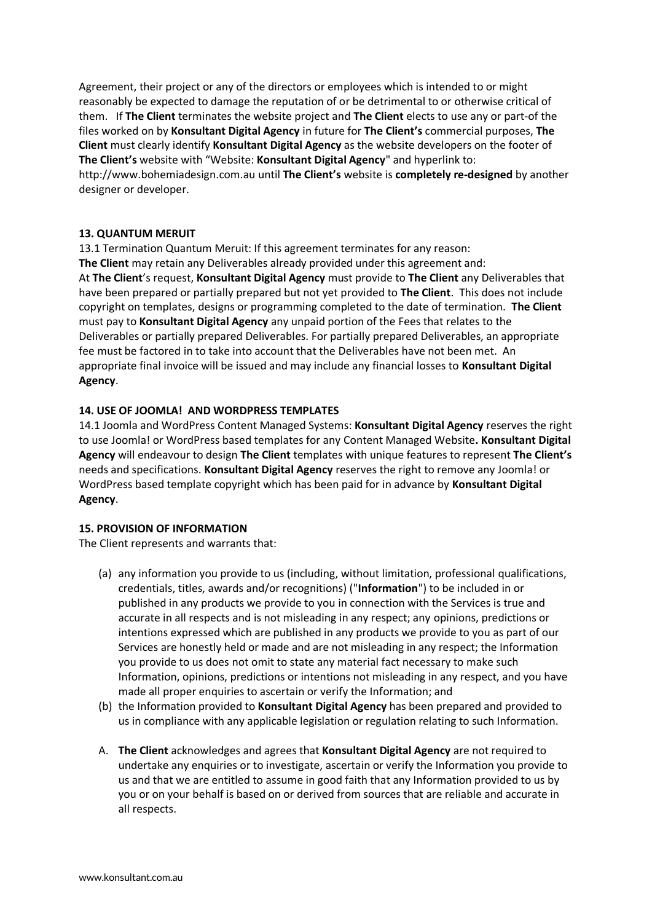Agreement, their project or any of the directors or employees which is intended to or might reasonably be expected to damage the reputation of or be detrimental to or otherwise critical of them. If **The Client** terminates the website project and **The Client** elects to use any or part-of the files worked on by **Konsultant Digital Agency** in future for **The Client's** commercial purposes, **The Client** must clearly identify **Konsultant Digital Agency** as the website developers on the footer of **The Client's** website with "Website: **Konsultant Digital Agency**" and hyperlink to: http://www.bohemiadesign.com.au until **The Client's** website is **completely re-designed** by another designer or developer.

#### **13. QUANTUM MERUIT**

13.1 Termination Quantum Meruit: If this agreement terminates for any reason: **The Client** may retain any Deliverables already provided under this agreement and: At **The Client**'s request, **Konsultant Digital Agency** must provide to **The Client** any Deliverables that have been prepared or partially prepared but not yet provided to **The Client**. This does not include copyright on templates, designs or programming completed to the date of termination. **The Client** must pay to **Konsultant Digital Agency** any unpaid portion of the Fees that relates to the Deliverables or partially prepared Deliverables. For partially prepared Deliverables, an appropriate fee must be factored in to take into account that the Deliverables have not been met. An appropriate final invoice will be issued and may include any financial losses to **Konsultant Digital Agency**.

#### **14. USE OF JOOMLA! AND WORDPRESS TEMPLATES**

14.1 Joomla and WordPress Content Managed Systems: **Konsultant Digital Agency** reserves the right to use Joomla! or WordPress based templates for any Content Managed Website**. Konsultant Digital Agency** will endeavour to design **The Client** templates with unique features to represent **The Client's** needs and specifications. **Konsultant Digital Agency** reserves the right to remove any Joomla! or WordPress based template copyright which has been paid for in advance by **Konsultant Digital Agency**.

#### **15. PROVISION OF INFORMATION**

The Client represents and warrants that:

- (a) any information you provide to us (including, without limitation, professional qualifications, credentials, titles, awards and/or recognitions) ("**Information**") to be included in or published in any products we provide to you in connection with the Services is true and accurate in all respects and is not misleading in any respect; any opinions, predictions or intentions expressed which are published in any products we provide to you as part of our Services are honestly held or made and are not misleading in any respect; the Information you provide to us does not omit to state any material fact necessary to make such Information, opinions, predictions or intentions not misleading in any respect, and you have made all proper enquiries to ascertain or verify the Information; and
- (b) the Information provided to **Konsultant Digital Agency** has been prepared and provided to us in compliance with any applicable legislation or regulation relating to such Information.
- A. **The Client** acknowledges and agrees that **Konsultant Digital Agency** are not required to undertake any enquiries or to investigate, ascertain or verify the Information you provide to us and that we are entitled to assume in good faith that any Information provided to us by you or on your behalf is based on or derived from sources that are reliable and accurate in all respects.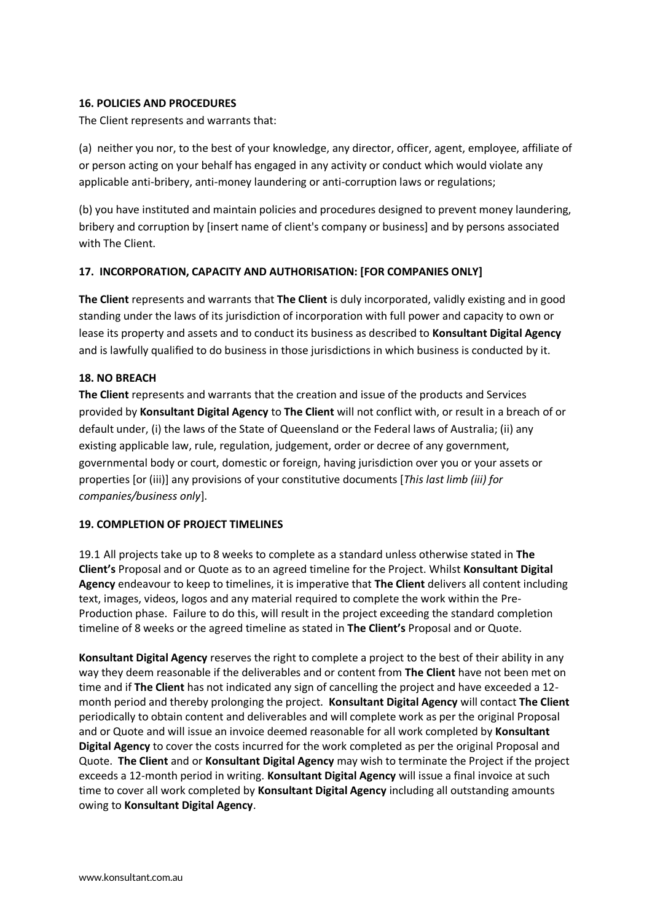#### **16. POLICIES AND PROCEDURES**

The Client represents and warrants that:

(a) neither you nor, to the best of your knowledge, any director, officer, agent, employee, affiliate of or person acting on your behalf has engaged in any activity or conduct which would violate any applicable anti-bribery, anti-money laundering or anti-corruption laws or regulations;

(b) you have instituted and maintain policies and procedures designed to prevent money laundering, bribery and corruption by [insert name of client's company or business] and by persons associated with The Client.

## **17. INCORPORATION, CAPACITY AND AUTHORISATION: [FOR COMPANIES ONLY]**

**The Client** represents and warrants that **The Client** is duly incorporated, validly existing and in good standing under the laws of its jurisdiction of incorporation with full power and capacity to own or lease its property and assets and to conduct its business as described to **Konsultant Digital Agency** and is lawfully qualified to do business in those jurisdictions in which business is conducted by it.

#### **18. NO BREACH**

**The Client** represents and warrants that the creation and issue of the products and Services provided by **Konsultant Digital Agency** to **The Client** will not conflict with, or result in a breach of or default under, (i) the laws of the State of Queensland or the Federal laws of Australia; (ii) any existing applicable law, rule, regulation, judgement, order or decree of any government, governmental body or court, domestic or foreign, having jurisdiction over you or your assets or properties [or (iii)] any provisions of your constitutive documents [*This last limb (iii) for companies/business only*].

## **19. COMPLETION OF PROJECT TIMELINES**

19.1 All projects take up to 8 weeks to complete as a standard unless otherwise stated in **The Client's** Proposal and or Quote as to an agreed timeline for the Project. Whilst **Konsultant Digital Agency** endeavour to keep to timelines, it is imperative that **The Client** delivers all content including text, images, videos, logos and any material required to complete the work within the Pre-Production phase. Failure to do this, will result in the project exceeding the standard completion timeline of 8 weeks or the agreed timeline as stated in **The Client's** Proposal and or Quote.

**Konsultant Digital Agency** reserves the right to complete a project to the best of their ability in any way they deem reasonable if the deliverables and or content from **The Client** have not been met on time and if **The Client** has not indicated any sign of cancelling the project and have exceeded a 12 month period and thereby prolonging the project. **Konsultant Digital Agency** will contact **The Client** periodically to obtain content and deliverables and will complete work as per the original Proposal and or Quote and will issue an invoice deemed reasonable for all work completed by **Konsultant Digital Agency** to cover the costs incurred for the work completed as per the original Proposal and Quote. **The Client** and or **Konsultant Digital Agency** may wish to terminate the Project if the project exceeds a 12-month period in writing. **Konsultant Digital Agency** will issue a final invoice at such time to cover all work completed by **Konsultant Digital Agency** including all outstanding amounts owing to **Konsultant Digital Agency**.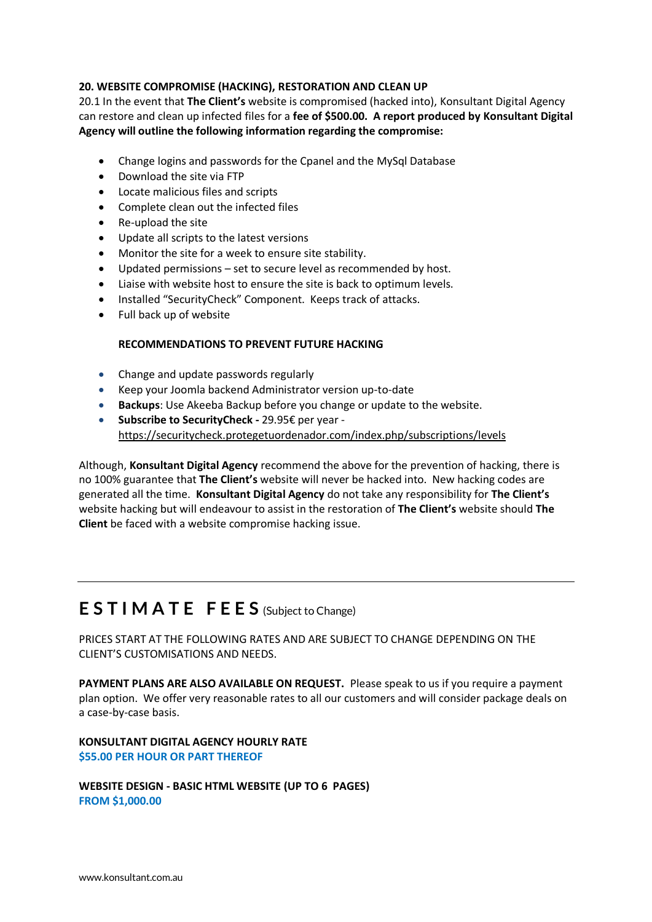#### **20. WEBSITE COMPROMISE (HACKING), RESTORATION AND CLEAN UP**

20.1 In the event that **The Client's** website is compromised (hacked into), Konsultant Digital Agency can restore and clean up infected files for a **fee of \$500.00. A report produced by Konsultant Digital Agency will outline the following information regarding the compromise:** 

- Change logins and passwords for the Cpanel and the MySql Database
- Download the site via FTP
- Locate malicious files and scripts
- Complete clean out the infected files
- Re-upload the site
- Update all scripts to the latest versions
- Monitor the site for a week to ensure site stability.
- Updated permissions set to secure level as recommended by host.
- Liaise with website host to ensure the site is back to optimum levels.
- Installed "SecurityCheck" Component. Keeps track of attacks.
- Full back up of website

#### **RECOMMENDATIONS TO PREVENT FUTURE HACKING**

- Change and update passwords regularly
- Keep your Joomla backend Administrator version up-to-date
- **Backups**: Use Akeeba Backup before you change or update to the website.
- **Subscribe to SecurityCheck -** 29.95€ per year <https://securitycheck.protegetuordenador.com/index.php/subscriptions/levels>

Although, **Konsultant Digital Agency** recommend the above for the prevention of hacking, there is no 100% guarantee that **The Client's** website will never be hacked into. New hacking codes are generated all the time. **Konsultant Digital Agency** do not take any responsibility for **The Client's** website hacking but will endeavour to assist in the restoration of **The Client's** website should **The Client** be faced with a website compromise hacking issue.

## **E S T I M A T E F E E S** (Subject to Change)

PRICES START AT THE FOLLOWING RATES AND ARE SUBJECT TO CHANGE DEPENDING ON THE CLIENT'S CUSTOMISATIONS AND NEEDS.

**PAYMENT PLANS ARE ALSO AVAILABLE ON REQUEST.** Please speak to us if you require a payment plan option. We offer very reasonable rates to all our customers and will consider package deals on a case-by-case basis.

**KONSULTANT DIGITAL AGENCY HOURLY RATE \$55.00 PER HOUR OR PART THEREOF**

**WEBSITE DESIGN - BASIC HTML WEBSITE (UP TO 6 PAGES) FROM \$1,000.00**